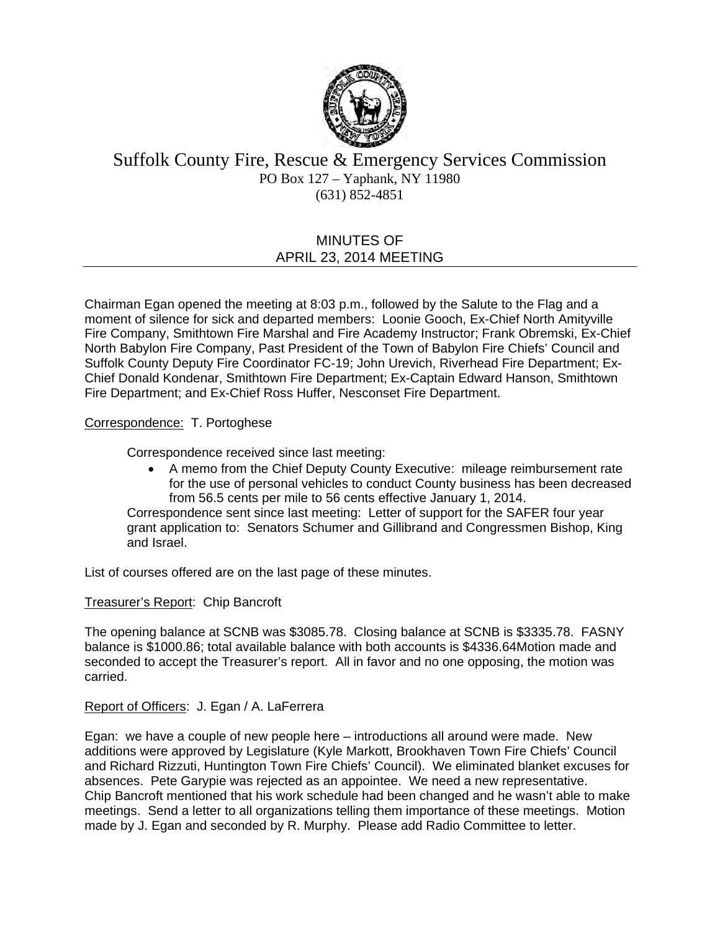

# Suffolk County Fire, Rescue & Emergency Services Commission PO Box 127 – Yaphank, NY 11980 (631) 852-4851

# MINUTES OF APRIL 23, 2014 MEETING

Chairman Egan opened the meeting at 8:03 p.m., followed by the Salute to the Flag and a moment of silence for sick and departed members: Loonie Gooch, Ex-Chief North Amityville Fire Company, Smithtown Fire Marshal and Fire Academy Instructor; Frank Obremski, Ex-Chief North Babylon Fire Company, Past President of the Town of Babylon Fire Chiefs' Council and Suffolk County Deputy Fire Coordinator FC-19; John Urevich, Riverhead Fire Department; Ex-Chief Donald Kondenar, Smithtown Fire Department; Ex-Captain Edward Hanson, Smithtown Fire Department; and Ex-Chief Ross Huffer, Nesconset Fire Department.

## Correspondence: T. Portoghese

Correspondence received since last meeting:

 A memo from the Chief Deputy County Executive: mileage reimbursement rate for the use of personal vehicles to conduct County business has been decreased from 56.5 cents per mile to 56 cents effective January 1, 2014.

Correspondence sent since last meeting: Letter of support for the SAFER four year grant application to: Senators Schumer and Gillibrand and Congressmen Bishop, King and Israel.

List of courses offered are on the last page of these minutes.

### Treasurer's Report: Chip Bancroft

The opening balance at SCNB was \$3085.78. Closing balance at SCNB is \$3335.78. FASNY balance is \$1000.86; total available balance with both accounts is \$4336.64Motion made and seconded to accept the Treasurer's report. All in favor and no one opposing, the motion was carried.

### Report of Officers: J. Egan / A. LaFerrera

Egan: we have a couple of new people here – introductions all around were made. New additions were approved by Legislature (Kyle Markott, Brookhaven Town Fire Chiefs' Council and Richard Rizzuti, Huntington Town Fire Chiefs' Council). We eliminated blanket excuses for absences. Pete Garypie was rejected as an appointee. We need a new representative. Chip Bancroft mentioned that his work schedule had been changed and he wasn't able to make meetings. Send a letter to all organizations telling them importance of these meetings. Motion made by J. Egan and seconded by R. Murphy. Please add Radio Committee to letter.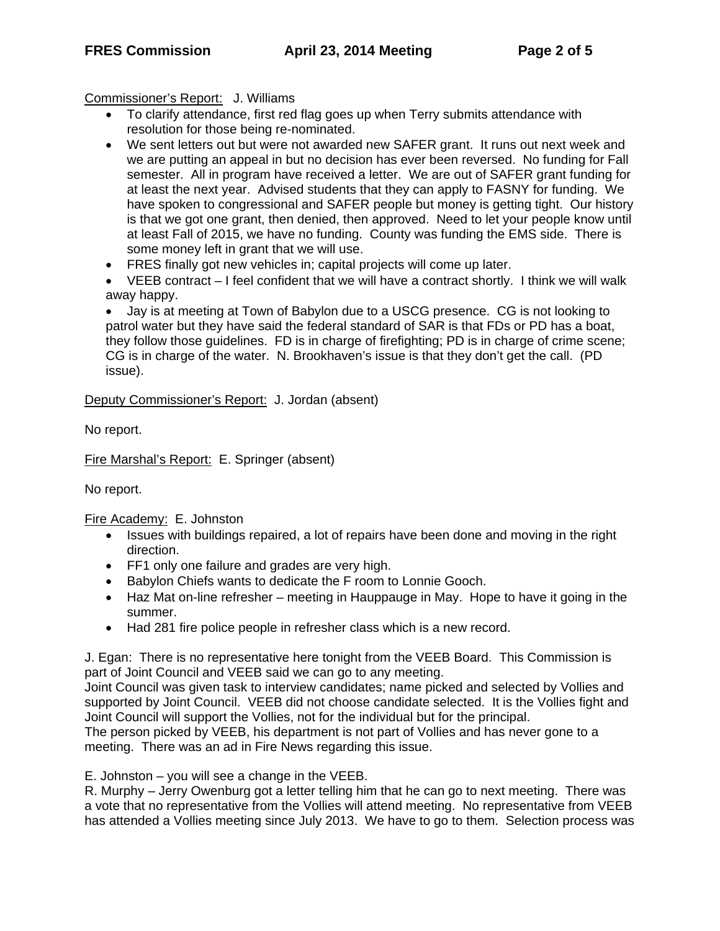Commissioner's Report: J. Williams

- To clarify attendance, first red flag goes up when Terry submits attendance with resolution for those being re-nominated.
- We sent letters out but were not awarded new SAFER grant. It runs out next week and we are putting an appeal in but no decision has ever been reversed. No funding for Fall semester. All in program have received a letter. We are out of SAFER grant funding for at least the next year. Advised students that they can apply to FASNY for funding. We have spoken to congressional and SAFER people but money is getting tight. Our history is that we got one grant, then denied, then approved. Need to let your people know until at least Fall of 2015, we have no funding. County was funding the EMS side. There is some money left in grant that we will use.
- FRES finally got new vehicles in; capital projects will come up later.
- VEEB contract I feel confident that we will have a contract shortly. I think we will walk away happy.

 Jay is at meeting at Town of Babylon due to a USCG presence. CG is not looking to patrol water but they have said the federal standard of SAR is that FDs or PD has a boat, they follow those guidelines. FD is in charge of firefighting; PD is in charge of crime scene; CG is in charge of the water. N. Brookhaven's issue is that they don't get the call. (PD issue).

Deputy Commissioner's Report: J. Jordan (absent)

No report.

Fire Marshal's Report: E. Springer (absent)

No report.

Fire Academy: E. Johnston

- Issues with buildings repaired, a lot of repairs have been done and moving in the right direction.
- FF1 only one failure and grades are very high.
- Babylon Chiefs wants to dedicate the F room to Lonnie Gooch.
- Haz Mat on-line refresher meeting in Hauppauge in May. Hope to have it going in the summer.
- Had 281 fire police people in refresher class which is a new record.

J. Egan: There is no representative here tonight from the VEEB Board. This Commission is part of Joint Council and VEEB said we can go to any meeting.

Joint Council was given task to interview candidates; name picked and selected by Vollies and supported by Joint Council. VEEB did not choose candidate selected. It is the Vollies fight and Joint Council will support the Vollies, not for the individual but for the principal.

The person picked by VEEB, his department is not part of Vollies and has never gone to a meeting. There was an ad in Fire News regarding this issue.

E. Johnston – you will see a change in the VEEB.

R. Murphy – Jerry Owenburg got a letter telling him that he can go to next meeting. There was a vote that no representative from the Vollies will attend meeting. No representative from VEEB has attended a Vollies meeting since July 2013. We have to go to them. Selection process was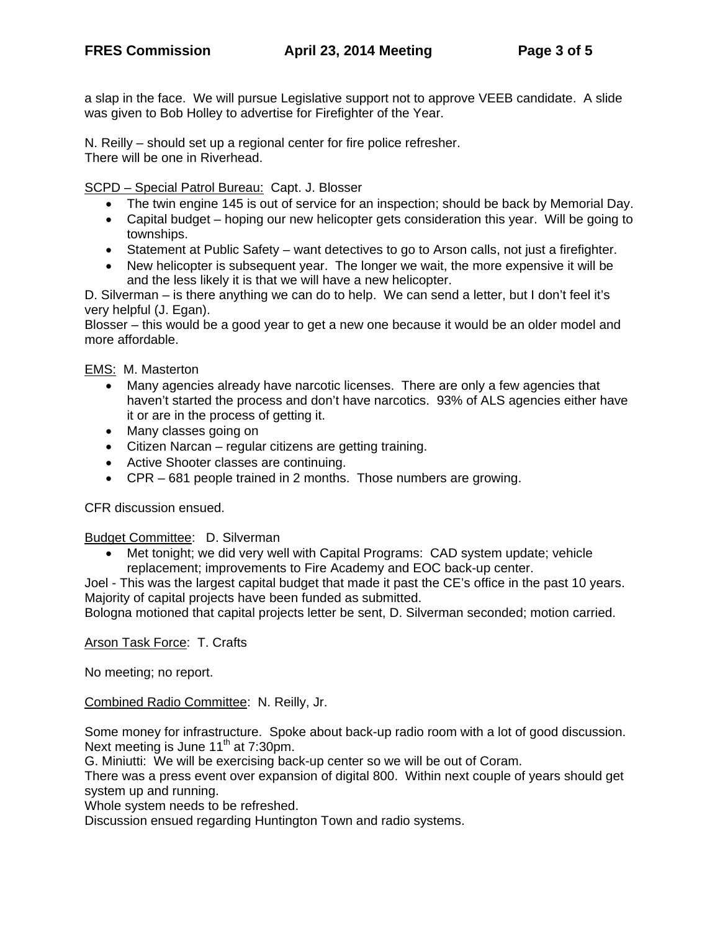a slap in the face. We will pursue Legislative support not to approve VEEB candidate. A slide was given to Bob Holley to advertise for Firefighter of the Year.

N. Reilly – should set up a regional center for fire police refresher. There will be one in Riverhead.

SCPD – Special Patrol Bureau: Capt. J. Blosser

- The twin engine 145 is out of service for an inspection; should be back by Memorial Day.
- Capital budget hoping our new helicopter gets consideration this year. Will be going to townships.
- Statement at Public Safety want detectives to go to Arson calls, not just a firefighter.
- New helicopter is subsequent year. The longer we wait, the more expensive it will be and the less likely it is that we will have a new helicopter.

D. Silverman – is there anything we can do to help. We can send a letter, but I don't feel it's very helpful (J. Egan).

Blosser – this would be a good year to get a new one because it would be an older model and more affordable.

EMS: M. Masterton

- Many agencies already have narcotic licenses. There are only a few agencies that haven't started the process and don't have narcotics. 93% of ALS agencies either have it or are in the process of getting it.
- Many classes going on
- Citizen Narcan regular citizens are getting training.
- Active Shooter classes are continuing.
- CPR 681 people trained in 2 months. Those numbers are growing.

CFR discussion ensued.

Budget Committee: D. Silverman

 Met tonight; we did very well with Capital Programs: CAD system update; vehicle replacement; improvements to Fire Academy and EOC back-up center.

Joel - This was the largest capital budget that made it past the CE's office in the past 10 years. Majority of capital projects have been funded as submitted.

Bologna motioned that capital projects letter be sent, D. Silverman seconded; motion carried.

Arson Task Force: T. Crafts

No meeting; no report.

Combined Radio Committee: N. Reilly, Jr.

Some money for infrastructure. Spoke about back-up radio room with a lot of good discussion. Next meeting is June  $11^{th}$  at 7:30pm.

G. Miniutti: We will be exercising back-up center so we will be out of Coram.

There was a press event over expansion of digital 800. Within next couple of years should get system up and running.

Whole system needs to be refreshed.

Discussion ensued regarding Huntington Town and radio systems.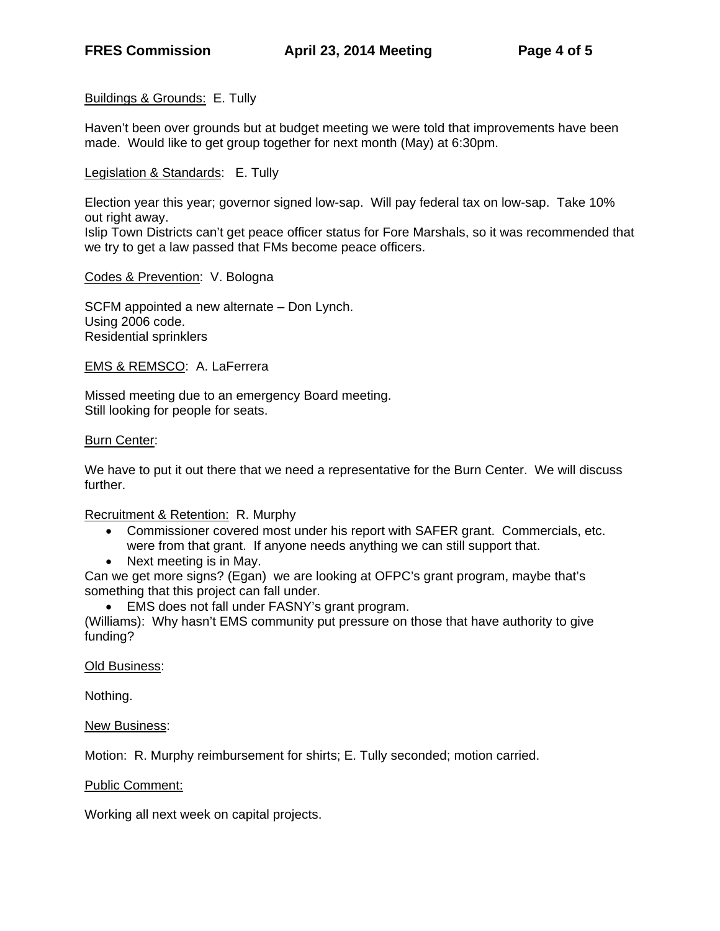### Buildings & Grounds: E. Tully

Haven't been over grounds but at budget meeting we were told that improvements have been made. Would like to get group together for next month (May) at 6:30pm.

Legislation & Standards: E. Tully

Election year this year; governor signed low-sap. Will pay federal tax on low-sap. Take 10% out right away.

Islip Town Districts can't get peace officer status for Fore Marshals, so it was recommended that we try to get a law passed that FMs become peace officers.

Codes & Prevention: V. Bologna

SCFM appointed a new alternate – Don Lynch. Using 2006 code. Residential sprinklers

EMS & REMSCO: A. LaFerrera

Missed meeting due to an emergency Board meeting. Still looking for people for seats.

#### **Burn Center:**

We have to put it out there that we need a representative for the Burn Center. We will discuss further.

Recruitment & Retention: R. Murphy

- Commissioner covered most under his report with SAFER grant. Commercials, etc. were from that grant. If anyone needs anything we can still support that.
- Next meeting is in May.
- Can we get more signs? (Egan) we are looking at OFPC's grant program, maybe that's something that this project can fall under.
	- EMS does not fall under FASNY's grant program.

(Williams): Why hasn't EMS community put pressure on those that have authority to give funding?

Old Business:

Nothing.

New Business:

Motion: R. Murphy reimbursement for shirts; E. Tully seconded; motion carried.

Public Comment:

Working all next week on capital projects.